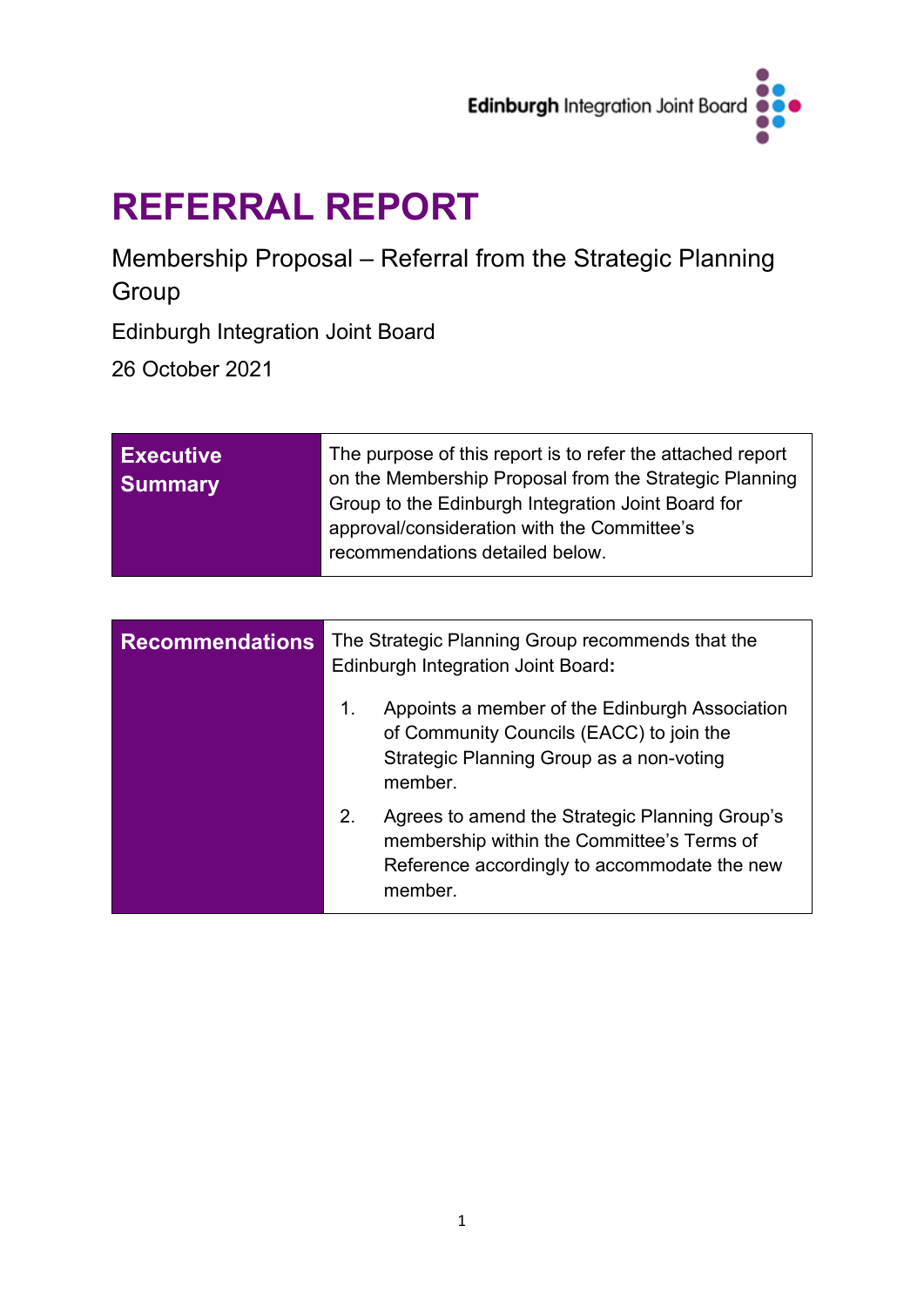

# **REFERRAL REPORT**

Membership Proposal – Referral from the Strategic Planning Group

Edinburgh Integration Joint Board

26 October 2021

| <b>Executive</b><br><b>Summary</b> | The purpose of this report is to refer the attached report<br>on the Membership Proposal from the Strategic Planning<br>Group to the Edinburgh Integration Joint Board for<br>approval/consideration with the Committee's |
|------------------------------------|---------------------------------------------------------------------------------------------------------------------------------------------------------------------------------------------------------------------------|
|                                    | recommendations detailed below.                                                                                                                                                                                           |

| <b>Recommendations</b> | The Strategic Planning Group recommends that the<br><b>Edinburgh Integration Joint Board:</b>                                                                 |
|------------------------|---------------------------------------------------------------------------------------------------------------------------------------------------------------|
|                        | Appoints a member of the Edinburgh Association<br>1.<br>of Community Councils (EACC) to join the<br>Strategic Planning Group as a non-voting<br>member.       |
|                        | Agrees to amend the Strategic Planning Group's<br>2.<br>membership within the Committee's Terms of<br>Reference accordingly to accommodate the new<br>member. |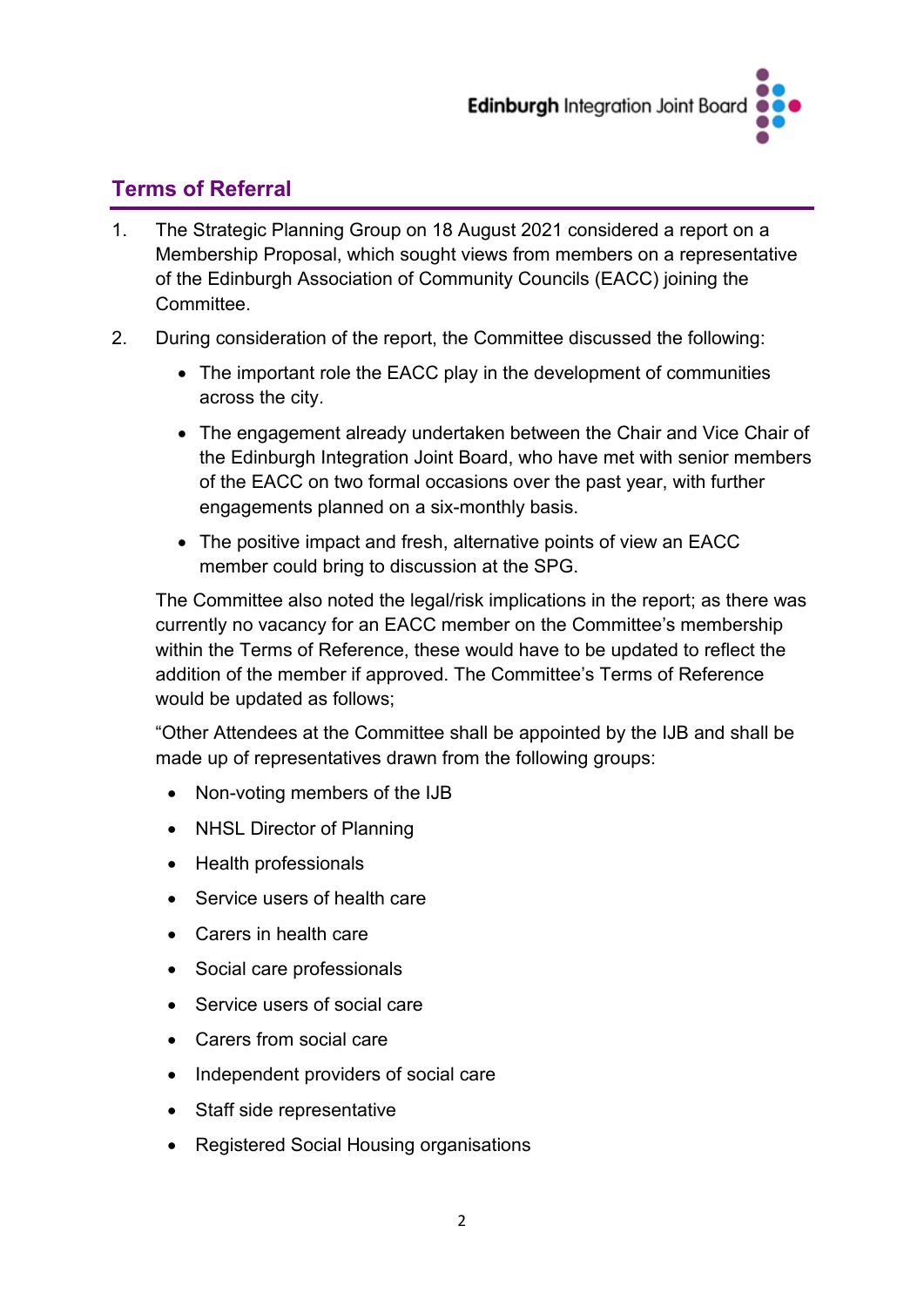

## **Terms of Referral**

- 1. The Strategic Planning Group on 18 August 2021 considered a report on a Membership Proposal, which sought views from members on a representative of the Edinburgh Association of Community Councils (EACC) joining the Committee.
- 2. During consideration of the report, the Committee discussed the following:
	- The important role the EACC play in the development of communities across the city.
	- The engagement already undertaken between the Chair and Vice Chair of the Edinburgh Integration Joint Board, who have met with senior members of the EACC on two formal occasions over the past year, with further engagements planned on a six-monthly basis.
	- The positive impact and fresh, alternative points of view an EACC member could bring to discussion at the SPG.

The Committee also noted the legal/risk implications in the report; as there was currently no vacancy for an EACC member on the Committee's membership within the Terms of Reference, these would have to be updated to reflect the addition of the member if approved. The Committee's Terms of Reference would be updated as follows;

"Other Attendees at the Committee shall be appointed by the IJB and shall be made up of representatives drawn from the following groups:

- Non-voting members of the IJB
- NHSL Director of Planning
- Health professionals
- Service users of health care
- Carers in health care
- Social care professionals
- Service users of social care
- Carers from social care
- Independent providers of social care
- Staff side representative
- Registered Social Housing organisations